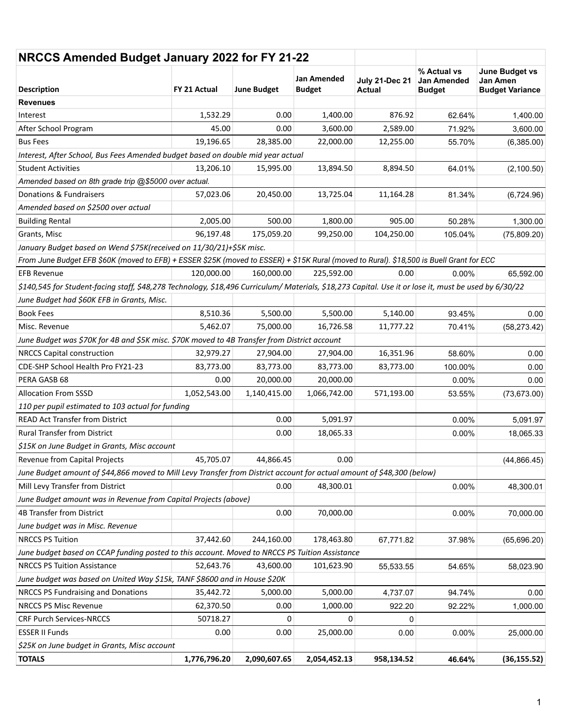| NRCCS Amended Budget January 2022 for FY 21-22                                                                                                        |              |                    |                              |                                        |                                                    |                                                             |
|-------------------------------------------------------------------------------------------------------------------------------------------------------|--------------|--------------------|------------------------------|----------------------------------------|----------------------------------------------------|-------------------------------------------------------------|
| <b>Description</b>                                                                                                                                    | FY 21 Actual | <b>June Budget</b> | Jan Amended<br><b>Budget</b> | <b>July 21-Dec 21</b><br><b>Actual</b> | % Actual vs<br><b>Jan Amended</b><br><b>Budget</b> | June Budget vs<br><b>Jan Amen</b><br><b>Budget Variance</b> |
| <b>Revenues</b>                                                                                                                                       |              |                    |                              |                                        |                                                    |                                                             |
| Interest                                                                                                                                              | 1,532.29     | 0.00               | 1,400.00                     | 876.92                                 | 62.64%                                             | 1,400.00                                                    |
| After School Program                                                                                                                                  | 45.00        | 0.00               | 3,600.00                     | 2,589.00                               | 71.92%                                             | 3,600.00                                                    |
| <b>Bus Fees</b>                                                                                                                                       | 19,196.65    | 28,385.00          | 22,000.00                    | 12,255.00                              | 55.70%                                             | (6,385.00)                                                  |
| Interest, After School, Bus Fees Amended budget based on double mid year actual                                                                       |              |                    |                              |                                        |                                                    |                                                             |
| <b>Student Activities</b>                                                                                                                             | 13,206.10    | 15,995.00          | 13,894.50                    | 8,894.50                               | 64.01%                                             | (2,100.50)                                                  |
| Amended based on 8th grade trip @\$5000 over actual.                                                                                                  |              |                    |                              |                                        |                                                    |                                                             |
| Donations & Fundraisers                                                                                                                               | 57,023.06    | 20,450.00          | 13,725.04                    | 11,164.28                              | 81.34%                                             | (6,724.96)                                                  |
| Amended based on \$2500 over actual                                                                                                                   |              |                    |                              |                                        |                                                    |                                                             |
| <b>Building Rental</b>                                                                                                                                | 2,005.00     | 500.00             | 1,800.00                     | 905.00                                 | 50.28%                                             | 1,300.00                                                    |
| Grants, Misc                                                                                                                                          | 96,197.48    | 175,059.20         | 99,250.00                    | 104,250.00                             | 105.04%                                            | (75,809.20)                                                 |
| January Budget based on Wend \$75K(received on 11/30/21)+\$5K misc.                                                                                   |              |                    |                              |                                        |                                                    |                                                             |
| From June Budget EFB \$60K (moved to EFB) + ESSER \$25K (moved to ESSER) + \$15K Rural (moved to Rural). \$18,500 is Buell Grant for ECC              |              |                    |                              |                                        |                                                    |                                                             |
| <b>EFB Revenue</b>                                                                                                                                    | 120,000.00   | 160,000.00         | 225,592.00                   | 0.00                                   | $0.00\%$                                           | 65,592.00                                                   |
| \$140,545 for Student-facing staff, \$48,278 Technology, \$18,496 Curriculum/ Materials, \$18,273 Capital. Use it or lose it, must be used by 6/30/22 |              |                    |                              |                                        |                                                    |                                                             |
| June Budget had \$60K EFB in Grants, Misc.                                                                                                            |              |                    |                              |                                        |                                                    |                                                             |
| <b>Book Fees</b>                                                                                                                                      | 8,510.36     | 5,500.00           | 5,500.00                     | 5,140.00                               | 93.45%                                             | 0.00                                                        |
| Misc. Revenue                                                                                                                                         | 5,462.07     | 75,000.00          | 16,726.58                    | 11,777.22                              | 70.41%                                             | (58, 273.42)                                                |
| June Budget was \$70K for 4B and \$5K misc. \$70K moved to 4B Transfer from District account                                                          |              |                    |                              |                                        |                                                    |                                                             |
| <b>NRCCS Capital construction</b>                                                                                                                     | 32,979.27    | 27,904.00          | 27,904.00                    | 16,351.96                              | 58.60%                                             | 0.00                                                        |
| CDE-SHP School Health Pro FY21-23                                                                                                                     | 83,773.00    | 83,773.00          | 83,773.00                    | 83,773.00                              | 100.00%                                            | 0.00                                                        |
| PERA GASB 68                                                                                                                                          | 0.00         | 20,000.00          | 20,000.00                    |                                        | $0.00\%$                                           | 0.00                                                        |
| <b>Allocation From SSSD</b>                                                                                                                           | 1,052,543.00 | 1,140,415.00       | 1,066,742.00                 | 571,193.00                             | 53.55%                                             | (73, 673.00)                                                |
| 110 per pupil estimated to 103 actual for funding                                                                                                     |              |                    |                              |                                        |                                                    |                                                             |
| <b>READ Act Transfer from District</b>                                                                                                                |              | 0.00               | 5,091.97                     |                                        | $0.00\%$                                           | 5,091.97                                                    |
| <b>Rural Transfer from District</b>                                                                                                                   |              | 0.00               | 18,065.33                    |                                        | 0.00%                                              | 18,065.33                                                   |
| \$15K on June Budget in Grants, Misc account                                                                                                          |              |                    |                              |                                        |                                                    |                                                             |
| Revenue from Capital Projects                                                                                                                         | 45,705.07    | 44,866.45          | 0.00                         |                                        |                                                    | (44, 866.45)                                                |
| June Budget amount of \$44,866 moved to Mill Levy Transfer from District account for actual amount of \$48,300 (below)                                |              |                    |                              |                                        |                                                    |                                                             |
| Mill Levy Transfer from District                                                                                                                      |              | 0.00               | 48,300.01                    |                                        | 0.00%                                              | 48,300.01                                                   |
| June Budget amount was in Revenue from Capital Projects (above)                                                                                       |              |                    |                              |                                        |                                                    |                                                             |
| 4B Transfer from District                                                                                                                             |              | 0.00               | 70,000.00                    |                                        | 0.00%                                              | 70,000.00                                                   |
| June budget was in Misc. Revenue                                                                                                                      |              |                    |                              |                                        |                                                    |                                                             |
| <b>NRCCS PS Tuition</b>                                                                                                                               | 37,442.60    | 244,160.00         | 178,463.80                   | 67,771.82                              | 37.98%                                             | (65, 696.20)                                                |
| June budget based on CCAP funding posted to this account. Moved to NRCCS PS Tuition Assistance                                                        |              |                    |                              |                                        |                                                    |                                                             |
| <b>NRCCS PS Tuition Assistance</b>                                                                                                                    | 52,643.76    | 43,600.00          | 101,623.90                   | 55,533.55                              | 54.65%                                             | 58,023.90                                                   |
| June budget was based on United Way \$15k, TANF \$8600 and in House \$20K                                                                             |              |                    |                              |                                        |                                                    |                                                             |
| NRCCS PS Fundraising and Donations                                                                                                                    | 35,442.72    | 5,000.00           | 5,000.00                     | 4,737.07                               | 94.74%                                             | 0.00                                                        |
| <b>NRCCS PS Misc Revenue</b>                                                                                                                          | 62,370.50    | 0.00               | 1,000.00                     | 922.20                                 | 92.22%                                             | 1,000.00                                                    |
| <b>CRF Purch Services-NRCCS</b>                                                                                                                       | 50718.27     | 0                  | 0                            | 0                                      |                                                    |                                                             |
| <b>ESSER II Funds</b>                                                                                                                                 | 0.00         | 0.00               | 25,000.00                    | 0.00                                   | 0.00%                                              | 25,000.00                                                   |
| \$25K on June budget in Grants, Misc account                                                                                                          |              |                    |                              |                                        |                                                    |                                                             |
| <b>TOTALS</b>                                                                                                                                         | 1,776,796.20 | 2,090,607.65       | 2,054,452.13                 | 958,134.52                             | 46.64%                                             | (36, 155.52)                                                |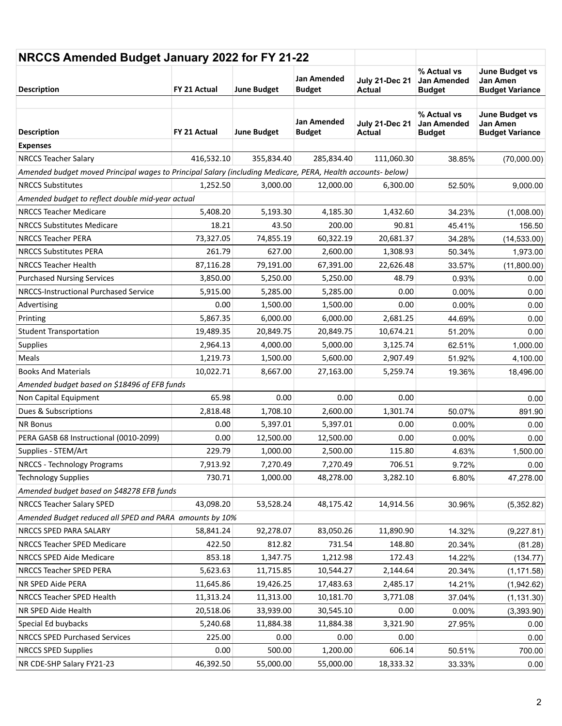| NRCCS Amended Budget January 2022 for FY 21-22                                                              |              |                    |                                     |                                 |                                             |                                                      |
|-------------------------------------------------------------------------------------------------------------|--------------|--------------------|-------------------------------------|---------------------------------|---------------------------------------------|------------------------------------------------------|
| <b>Description</b>                                                                                          | FY 21 Actual | <b>June Budget</b> | <b>Jan Amended</b><br><b>Budget</b> | <b>July 21-Dec 21</b><br>Actual | % Actual vs<br>Jan Amended<br><b>Budget</b> | June Budget vs<br>Jan Amen<br><b>Budget Variance</b> |
|                                                                                                             |              |                    | <b>Jan Amended</b>                  | <b>July 21-Dec 21</b>           | % Actual vs<br><b>Jan Amended</b>           | <b>June Budget vs</b><br><b>Jan Amen</b>             |
| <b>Description</b>                                                                                          | FY 21 Actual | <b>June Budget</b> | <b>Budget</b>                       | Actual                          | <b>Budget</b>                               | <b>Budget Variance</b>                               |
| <b>Expenses</b>                                                                                             |              |                    |                                     |                                 |                                             |                                                      |
| <b>NRCCS Teacher Salary</b>                                                                                 | 416,532.10   | 355,834.40         | 285,834.40                          | 111,060.30                      | 38.85%                                      | (70,000.00)                                          |
| Amended budget moved Principal wages to Principal Salary (including Medicare, PERA, Health accounts- below) |              |                    |                                     |                                 |                                             |                                                      |
| <b>NRCCS Substitutes</b>                                                                                    | 1,252.50     | 3,000.00           | 12,000.00                           | 6,300.00                        | 52.50%                                      | 9,000.00                                             |
| Amended budget to reflect double mid-year actual                                                            |              |                    |                                     |                                 |                                             |                                                      |
| <b>NRCCS Teacher Medicare</b>                                                                               | 5,408.20     | 5,193.30           | 4,185.30                            | 1,432.60                        | 34.23%                                      | (1,008.00)                                           |
| <b>NRCCS Substitutes Medicare</b>                                                                           | 18.21        | 43.50              | 200.00                              | 90.81                           | 45.41%                                      | 156.50                                               |
| <b>NRCCS Teacher PERA</b>                                                                                   | 73,327.05    | 74,855.19          | 60,322.19                           | 20,681.37                       | 34.28%                                      | (14, 533.00)                                         |
| <b>NRCCS Substitutes PERA</b>                                                                               | 261.79       | 627.00             | 2,600.00                            | 1,308.93                        | 50.34%                                      | 1,973.00                                             |
| <b>NRCCS Teacher Health</b>                                                                                 | 87,116.28    | 79,191.00          | 67,391.00                           | 22,626.48                       | 33.57%                                      | (11,800.00)                                          |
| <b>Purchased Nursing Services</b>                                                                           | 3,850.00     | 5,250.00           | 5,250.00                            | 48.79                           | 0.93%                                       | 0.00                                                 |
| NRCCS-Instructional Purchased Service                                                                       | 5,915.00     | 5,285.00           | 5,285.00                            | 0.00                            | 0.00%                                       | 0.00                                                 |
| Advertising                                                                                                 | 0.00         | 1,500.00           | 1,500.00                            | 0.00                            | 0.00%                                       | 0.00                                                 |
| Printing                                                                                                    | 5,867.35     | 6,000.00           | 6,000.00                            | 2,681.25                        | 44.69%                                      | 0.00                                                 |
| <b>Student Transportation</b>                                                                               | 19,489.35    | 20,849.75          | 20,849.75                           | 10,674.21                       | 51.20%                                      | 0.00                                                 |
| Supplies                                                                                                    | 2,964.13     | 4,000.00           | 5,000.00                            | 3,125.74                        | 62.51%                                      | 1,000.00                                             |
| Meals                                                                                                       | 1,219.73     | 1,500.00           | 5,600.00                            | 2,907.49                        | 51.92%                                      | 4,100.00                                             |
| <b>Books And Materials</b>                                                                                  | 10,022.71    | 8,667.00           | 27,163.00                           | 5,259.74                        | 19.36%                                      | 18,496.00                                            |
| Amended budget based on \$18496 of EFB funds                                                                |              |                    |                                     |                                 |                                             |                                                      |
| Non Capital Equipment                                                                                       | 65.98        | 0.00               | 0.00                                | 0.00                            |                                             | 0.00                                                 |
| Dues & Subscriptions                                                                                        | 2,818.48     | 1,708.10           | 2,600.00                            | 1,301.74                        | 50.07%                                      | 891.90                                               |
| <b>NR Bonus</b>                                                                                             | 0.00         | 5,397.01           | 5,397.01                            | 0.00                            | 0.00%                                       | 0.00                                                 |
| PERA GASB 68 Instructional (0010-2099)                                                                      | 0.00         | 12,500.00          | 12,500.00                           | 0.00                            | $0.00\%$                                    | 0.00                                                 |
| Supplies - STEM/Art                                                                                         | 229.79       | 1,000.00           | 2,500.00                            | 115.80                          | 4.63%                                       | 1,500.00                                             |
| <b>NRCCS - Technology Programs</b>                                                                          | 7,913.92     | 7,270.49           | 7,270.49                            | 706.51                          | 9.72%                                       | 0.00                                                 |
| <b>Technology Supplies</b>                                                                                  | 730.71       | 1,000.00           | 48,278.00                           | 3,282.10                        | 6.80%                                       | 47,278.00                                            |
| Amended budget based on \$48278 EFB funds                                                                   |              |                    |                                     |                                 |                                             |                                                      |
| <b>NRCCS Teacher Salary SPED</b>                                                                            | 43,098.20    | 53,528.24          | 48,175.42                           | 14,914.56                       | 30.96%                                      | (5,352.82)                                           |
| Amended Budget reduced all SPED and PARA amounts by 10%                                                     |              |                    |                                     |                                 |                                             |                                                      |
| NRCCS SPED PARA SALARY                                                                                      | 58,841.24    | 92,278.07          | 83,050.26                           | 11,890.90                       | 14.32%                                      | (9,227.81)                                           |
| NRCCS Teacher SPED Medicare                                                                                 | 422.50       | 812.82             | 731.54                              | 148.80                          | 20.34%                                      | (81.28)                                              |
| NRCCS SPED Aide Medicare                                                                                    | 853.18       |                    |                                     |                                 |                                             |                                                      |
|                                                                                                             |              | 1,347.75           | 1,212.98                            | 172.43                          | 14.22%                                      | (134.77)                                             |
| NRCCS Teacher SPED PERA                                                                                     | 5,623.63     | 11,715.85          | 10,544.27                           | 2,144.64                        | 20.34%                                      | (1, 171.58)                                          |
| NR SPED Aide PERA                                                                                           | 11,645.86    | 19,426.25          | 17,483.63                           | 2,485.17                        | 14.21%                                      | (1,942.62)                                           |
| NRCCS Teacher SPED Health                                                                                   | 11,313.24    | 11,313.00          | 10,181.70                           | 3,771.08                        | 37.04%                                      | (1, 131.30)                                          |
| NR SPED Aide Health                                                                                         | 20,518.06    | 33,939.00          | 30,545.10                           | 0.00                            | 0.00%                                       | (3,393.90)                                           |
| Special Ed buybacks                                                                                         | 5,240.68     | 11,884.38          | 11,884.38                           | 3,321.90                        | 27.95%                                      | 0.00                                                 |
| <b>NRCCS SPED Purchased Services</b>                                                                        | 225.00       | 0.00               | 0.00                                | 0.00                            |                                             | 0.00                                                 |
| <b>NRCCS SPED Supplies</b>                                                                                  | 0.00         | 500.00             | 1,200.00                            | 606.14                          | 50.51%                                      | 700.00                                               |
| NR CDE-SHP Salary FY21-23                                                                                   | 46,392.50    | 55,000.00          | 55,000.00                           | 18,333.32                       | 33.33%                                      | 0.00                                                 |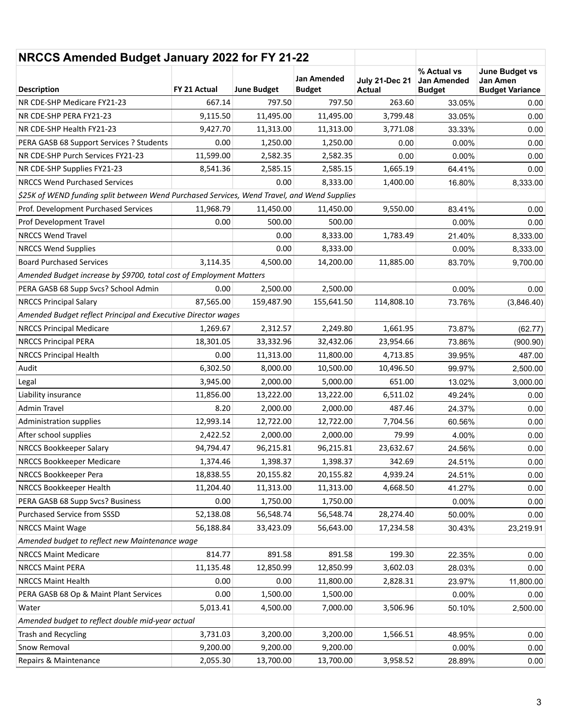| NRCCS Amended Budget January 2022 for FY 21-22                                              |              |                    |                                     |                                        |                                                    |                                                             |
|---------------------------------------------------------------------------------------------|--------------|--------------------|-------------------------------------|----------------------------------------|----------------------------------------------------|-------------------------------------------------------------|
| <b>Description</b>                                                                          | FY 21 Actual | <b>June Budget</b> | <b>Jan Amended</b><br><b>Budget</b> | <b>July 21-Dec 21</b><br><b>Actual</b> | % Actual vs<br><b>Jan Amended</b><br><b>Budget</b> | June Budget vs<br><b>Jan Amen</b><br><b>Budget Variance</b> |
| NR CDE-SHP Medicare FY21-23                                                                 | 667.14       | 797.50             | 797.50                              | 263.60                                 | 33.05%                                             | 0.00                                                        |
| NR CDE-SHP PERA FY21-23                                                                     | 9,115.50     | 11,495.00          | 11,495.00                           | 3,799.48                               | 33.05%                                             | 0.00                                                        |
| NR CDE-SHP Health FY21-23                                                                   | 9,427.70     | 11,313.00          | 11,313.00                           | 3,771.08                               | 33.33%                                             | 0.00                                                        |
| PERA GASB 68 Support Services ? Students                                                    | 0.00         | 1,250.00           | 1,250.00                            | 0.00                                   | 0.00%                                              | 0.00                                                        |
| NR CDE-SHP Purch Services FY21-23                                                           | 11,599.00    | 2,582.35           | 2,582.35                            | 0.00                                   | 0.00%                                              | 0.00                                                        |
| NR CDE-SHP Supplies FY21-23                                                                 | 8,541.36     | 2,585.15           | 2,585.15                            | 1,665.19                               | 64.41%                                             | 0.00                                                        |
| <b>NRCCS Wend Purchased Services</b>                                                        |              | 0.00               | 8,333.00                            | 1,400.00                               | 16.80%                                             | 8,333.00                                                    |
| \$25K of WEND funding split between Wend Purchased Services, Wend Travel, and Wend Supplies |              |                    |                                     |                                        |                                                    |                                                             |
| Prof. Development Purchased Services                                                        | 11,968.79    | 11,450.00          | 11,450.00                           | 9,550.00                               | 83.41%                                             | 0.00                                                        |
| Prof Development Travel                                                                     | 0.00         | 500.00             | 500.00                              |                                        | 0.00%                                              | 0.00                                                        |
| <b>NRCCS Wend Travel</b>                                                                    |              | 0.00               | 8,333.00                            | 1,783.49                               | 21.40%                                             | 8,333.00                                                    |
| <b>NRCCS Wend Supplies</b>                                                                  |              | 0.00               | 8,333.00                            |                                        | 0.00%                                              | 8,333.00                                                    |
| <b>Board Purchased Services</b>                                                             | 3,114.35     | 4,500.00           | 14,200.00                           | 11,885.00                              | 83.70%                                             | 9,700.00                                                    |
| Amended Budget increase by \$9700, total cost of Employment Matters                         |              |                    |                                     |                                        |                                                    |                                                             |
| PERA GASB 68 Supp Svcs? School Admin                                                        | 0.00         | 2,500.00           | 2,500.00                            |                                        | 0.00%                                              | 0.00                                                        |
| <b>NRCCS Principal Salary</b>                                                               | 87.565.00    | 159,487.90         | 155,641.50                          | 114,808.10                             | 73.76%                                             | (3,846.40)                                                  |
| Amended Budget reflect Principal and Executive Director wages                               |              |                    |                                     |                                        |                                                    |                                                             |
| <b>NRCCS Principal Medicare</b>                                                             | 1,269.67     | 2,312.57           | 2,249.80                            | 1,661.95                               | 73.87%                                             | (62.77)                                                     |
| <b>NRCCS Principal PERA</b>                                                                 | 18,301.05    | 33,332.96          | 32,432.06                           | 23,954.66                              | 73.86%                                             | (900.90)                                                    |
| <b>NRCCS Principal Health</b>                                                               | 0.00         | 11,313.00          | 11,800.00                           | 4,713.85                               | 39.95%                                             | 487.00                                                      |
| Audit                                                                                       | 6,302.50     | 8,000.00           | 10,500.00                           | 10,496.50                              | 99.97%                                             | 2,500.00                                                    |
| Legal                                                                                       | 3,945.00     | 2,000.00           | 5,000.00                            | 651.00                                 | 13.02%                                             | 3,000.00                                                    |
| Liability insurance                                                                         | 11,856.00    | 13,222.00          | 13,222.00                           | 6,511.02                               | 49.24%                                             | 0.00                                                        |
| Admin Travel                                                                                | 8.20         | 2,000.00           | 2,000.00                            | 487.46                                 | 24.37%                                             | 0.00                                                        |
| Administration supplies                                                                     | 12,993.14    | 12,722.00          | 12,722.00                           | 7,704.56                               | 60.56%                                             | 0.00                                                        |
| After school supplies                                                                       | 2,422.52     | 2,000.00           | 2,000.00                            | 79.99                                  | 4.00%                                              | 0.00                                                        |
| NRCCS Bookkeeper Salary                                                                     | 94,794.47    | 96,215.81          | 96,215.81                           | 23,632.67                              | 24.56%                                             | 0.00                                                        |
| NRCCS Bookkeeper Medicare                                                                   | 1,374.46     | 1,398.37           | 1,398.37                            | 342.69                                 | 24.51%                                             | 0.00                                                        |
| NRCCS Bookkeeper Pera                                                                       | 18,838.55    | 20,155.82          | 20,155.82                           | 4,939.24                               | 24.51%                                             | 0.00                                                        |
| NRCCS Bookkeeper Health                                                                     | 11,204.40    | 11,313.00          | 11,313.00                           | 4,668.50                               | 41.27%                                             | 0.00                                                        |
| PERA GASB 68 Supp Svcs? Business                                                            | 0.00         | 1,750.00           | 1,750.00                            |                                        | 0.00%                                              | 0.00                                                        |
| Purchased Service from SSSD                                                                 | 52,138.08    | 56,548.74          | 56,548.74                           | 28,274.40                              | 50.00%                                             | 0.00                                                        |
| <b>NRCCS Maint Wage</b>                                                                     | 56,188.84    | 33,423.09          | 56,643.00                           | 17,234.58                              | 30.43%                                             | 23,219.91                                                   |
| Amended budget to reflect new Maintenance wage                                              |              |                    |                                     |                                        |                                                    |                                                             |
| <b>NRCCS Maint Medicare</b>                                                                 | 814.77       | 891.58             | 891.58                              | 199.30                                 | 22.35%                                             | 0.00                                                        |
| <b>NRCCS Maint PERA</b>                                                                     | 11,135.48    | 12,850.99          | 12,850.99                           | 3,602.03                               | 28.03%                                             | 0.00                                                        |
| <b>NRCCS Maint Health</b>                                                                   | 0.00         | 0.00               | 11,800.00                           | 2,828.31                               | 23.97%                                             | 11,800.00                                                   |
| PERA GASB 68 Op & Maint Plant Services                                                      | 0.00         | 1,500.00           | 1,500.00                            |                                        | 0.00%                                              | 0.00                                                        |
| Water                                                                                       | 5,013.41     | 4,500.00           | 7,000.00                            | 3,506.96                               | 50.10%                                             | 2,500.00                                                    |
| Amended budget to reflect double mid-year actual                                            |              |                    |                                     |                                        |                                                    |                                                             |
| Trash and Recycling                                                                         | 3,731.03     | 3,200.00           | 3,200.00                            | 1,566.51                               | 48.95%                                             | 0.00                                                        |
| Snow Removal                                                                                | 9,200.00     | 9,200.00           | 9,200.00                            |                                        | 0.00%                                              | 0.00                                                        |
| Repairs & Maintenance                                                                       | 2,055.30     | 13,700.00          | 13,700.00                           | 3,958.52                               | 28.89%                                             | 0.00                                                        |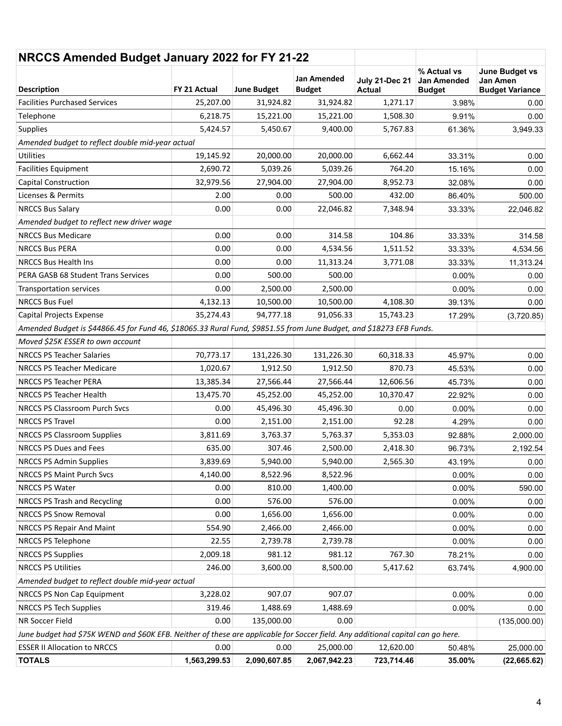| NRCCS Amended Budget January 2022 for FY 21-22                                                                                  |              |                    |                                     |                                        |                                             |                                                             |
|---------------------------------------------------------------------------------------------------------------------------------|--------------|--------------------|-------------------------------------|----------------------------------------|---------------------------------------------|-------------------------------------------------------------|
| <b>Description</b>                                                                                                              | FY 21 Actual | <b>June Budget</b> | <b>Jan Amended</b><br><b>Budget</b> | <b>July 21-Dec 21</b><br><b>Actual</b> | % Actual vs<br>Jan Amended<br><b>Budget</b> | <b>June Budget vs</b><br>Jan Amen<br><b>Budget Variance</b> |
| <b>Facilities Purchased Services</b>                                                                                            | 25,207.00    | 31,924.82          | 31,924.82                           | 1,271.17                               | 3.98%                                       | 0.00                                                        |
| Telephone                                                                                                                       | 6,218.75     | 15,221.00          | 15,221.00                           | 1,508.30                               | 9.91%                                       | 0.00                                                        |
| Supplies                                                                                                                        | 5,424.57     | 5,450.67           | 9,400.00                            | 5,767.83                               | 61.36%                                      | 3,949.33                                                    |
| Amended budget to reflect double mid-year actual                                                                                |              |                    |                                     |                                        |                                             |                                                             |
| <b>Utilities</b>                                                                                                                | 19,145.92    | 20,000.00          | 20,000.00                           | 6,662.44                               | 33.31%                                      | 0.00                                                        |
| <b>Facilities Equipment</b>                                                                                                     | 2,690.72     | 5,039.26           | 5,039.26                            | 764.20                                 | 15.16%                                      | 0.00                                                        |
| <b>Capital Construction</b>                                                                                                     | 32,979.56    | 27,904.00          | 27,904.00                           | 8,952.73                               | 32.08%                                      | 0.00                                                        |
| Licenses & Permits                                                                                                              | 2.00         | 0.00               | 500.00                              | 432.00                                 | 86.40%                                      | 500.00                                                      |
| <b>NRCCS Bus Salary</b>                                                                                                         | 0.00         | 0.00               | 22,046.82                           | 7,348.94                               | 33.33%                                      | 22,046.82                                                   |
| Amended budget to reflect new driver wage                                                                                       |              |                    |                                     |                                        |                                             |                                                             |
| <b>NRCCS Bus Medicare</b>                                                                                                       | 0.00         | 0.00               | 314.58                              | 104.86                                 | 33.33%                                      | 314.58                                                      |
| <b>NRCCS Bus PERA</b>                                                                                                           | 0.00         | 0.00               | 4,534.56                            | 1,511.52                               | 33.33%                                      | 4,534.56                                                    |
| <b>NRCCS Bus Health Ins</b>                                                                                                     | 0.00         | 0.00               | 11,313.24                           | 3,771.08                               | 33.33%                                      | 11,313.24                                                   |
| PERA GASB 68 Student Trans Services                                                                                             | 0.00         | 500.00             | 500.00                              |                                        | 0.00%                                       | 0.00                                                        |
| Transportation services                                                                                                         | 0.00         | 2,500.00           | 2,500.00                            |                                        | 0.00%                                       | 0.00                                                        |
| <b>NRCCS Bus Fuel</b>                                                                                                           | 4,132.13     | 10,500.00          | 10,500.00                           | 4,108.30                               | 39.13%                                      | 0.00                                                        |
| Capital Projects Expense                                                                                                        | 35,274.43    | 94,777.18          | 91,056.33                           | 15,743.23                              | 17.29%                                      | (3,720.85)                                                  |
| Amended Budget is \$44866.45 for Fund 46, \$18065.33 Rural Fund, \$9851.55 from June Budget, and \$18273 EFB Funds.             |              |                    |                                     |                                        |                                             |                                                             |
| Moved \$25K ESSER to own account                                                                                                |              |                    |                                     |                                        |                                             |                                                             |
| <b>NRCCS PS Teacher Salaries</b>                                                                                                | 70,773.17    | 131,226.30         | 131,226.30                          | 60,318.33                              | 45.97%                                      | 0.00                                                        |
| <b>NRCCS PS Teacher Medicare</b>                                                                                                | 1,020.67     | 1,912.50           | 1,912.50                            | 870.73                                 | 45.53%                                      | 0.00                                                        |
| NRCCS PS Teacher PERA                                                                                                           | 13,385.34    | 27,566.44          | 27,566.44                           | 12,606.56                              | 45.73%                                      | 0.00                                                        |
| NRCCS PS Teacher Health                                                                                                         | 13,475.70    | 45,252.00          | 45,252.00                           | 10,370.47                              | 22.92%                                      | 0.00                                                        |
| <b>NRCCS PS Classroom Purch Svcs</b>                                                                                            | 0.00         | 45,496.30          | 45,496.30                           | 0.00                                   | 0.00%                                       | 0.00                                                        |
| <b>NRCCS PS Travel</b>                                                                                                          | 0.00         | 2,151.00           | 2,151.00                            | 92.28                                  | 4.29%                                       | 0.00                                                        |
| <b>NRCCS PS Classroom Supplies</b>                                                                                              | 3,811.69     | 3,763.37           | 5,763.37                            | 5,353.03                               | 92.88%                                      | 2,000.00                                                    |
| NRCCS PS Dues and Fees                                                                                                          | 635.00       | 307.46             | 2,500.00                            | 2,418.30                               | 96.73%                                      | 2,192.54                                                    |
| NRCCS PS Admin Supplies                                                                                                         | 3,839.69     | 5,940.00           | 5,940.00                            | 2,565.30                               | 43.19%                                      | 0.00                                                        |
| NRCCS PS Maint Purch Svcs                                                                                                       | 4,140.00     | 8,522.96           | 8,522.96                            |                                        | 0.00%                                       | 0.00                                                        |
| NRCCS PS Water                                                                                                                  | 0.00         | 810.00             | 1,400.00                            |                                        | 0.00%                                       | 590.00                                                      |
| NRCCS PS Trash and Recycling                                                                                                    | 0.00         | 576.00             | 576.00                              |                                        | 0.00%                                       | 0.00                                                        |
| <b>NRCCS PS Snow Removal</b>                                                                                                    | 0.00         | 1,656.00           | 1,656.00                            |                                        | 0.00%                                       | 0.00                                                        |
| NRCCS PS Repair And Maint                                                                                                       | 554.90       | 2,466.00           | 2,466.00                            |                                        | 0.00%                                       | 0.00                                                        |
| NRCCS PS Telephone                                                                                                              | 22.55        | 2,739.78           | 2,739.78                            |                                        | 0.00%                                       | 0.00                                                        |
| <b>NRCCS PS Supplies</b>                                                                                                        | 2,009.18     | 981.12             | 981.12                              | 767.30                                 | 78.21%                                      | 0.00                                                        |
| <b>NRCCS PS Utilities</b>                                                                                                       | 246.00       | 3,600.00           | 8,500.00                            | 5,417.62                               | 63.74%                                      | 4,900.00                                                    |
| Amended budget to reflect double mid-year actual                                                                                |              |                    |                                     |                                        |                                             |                                                             |
| NRCCS PS Non Cap Equipment                                                                                                      | 3,228.02     | 907.07             | 907.07                              |                                        | 0.00%                                       | 0.00                                                        |
| NRCCS PS Tech Supplies                                                                                                          | 319.46       | 1,488.69           | 1,488.69                            |                                        | 0.00%                                       | 0.00                                                        |
| NR Soccer Field                                                                                                                 | 0.00         | 135,000.00         | 0.00                                |                                        |                                             | (135,000.00)                                                |
| June budget had \$75K WEND and \$60K EFB. Neither of these are applicable for Soccer field. Any additional capital can go here. |              |                    |                                     |                                        |                                             |                                                             |
| <b>ESSER II Allocation to NRCCS</b>                                                                                             | 0.00         | 0.00               | 25,000.00                           | 12,620.00                              | 50.48%                                      | 25,000.00                                                   |
| <b>TOTALS</b>                                                                                                                   | 1,563,299.53 | 2,090,607.85       | 2,067,942.23                        | 723,714.46                             | 35.00%                                      | (22, 665.62)                                                |